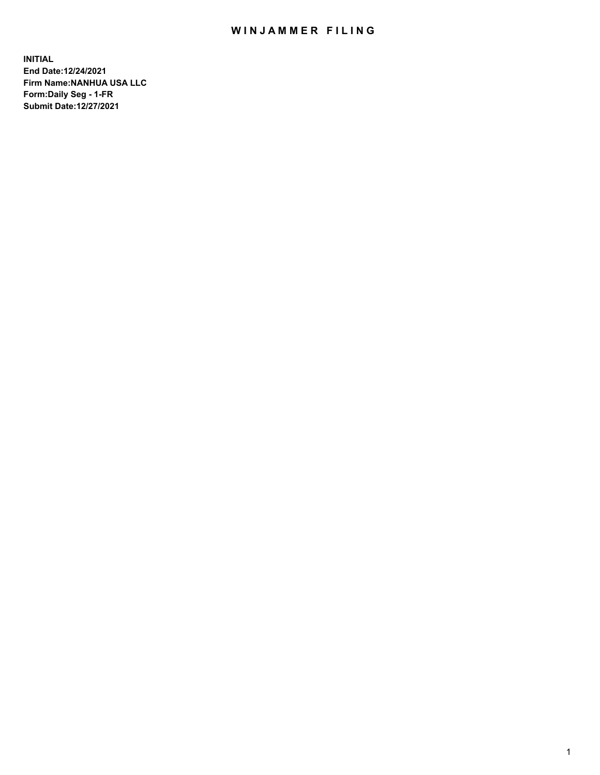## WIN JAMMER FILING

**INITIAL End Date:12/24/2021 Firm Name:NANHUA USA LLC Form:Daily Seg - 1-FR Submit Date:12/27/2021**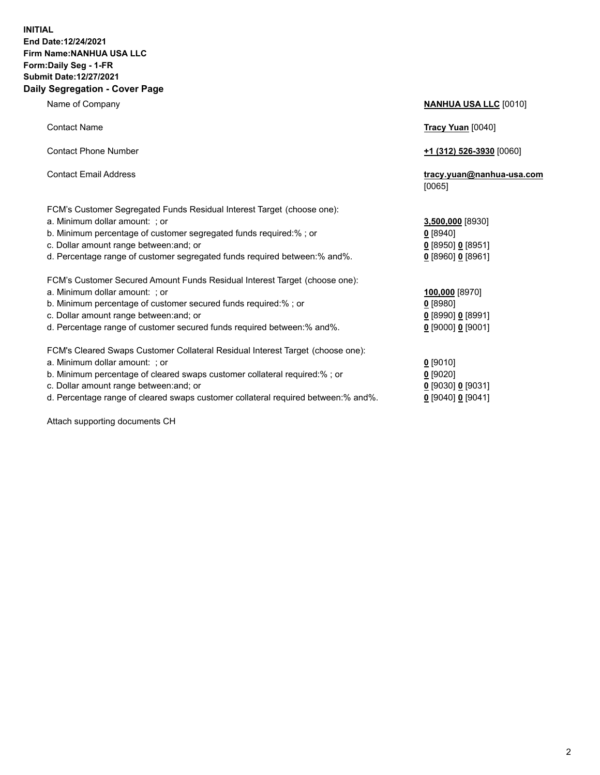## **INITIAL End Date:12/24/2021 Firm Name:NANHUA USA LLC Form:Daily Seg - 1-FR Submit Date:12/27/2021 Daily Segregation - Cover Page**

Name of Company **NANHUA USA LLC** [0010] Contact Name **Tracy Yuan** [0040] Contact Phone Number **+1 (312) 526-3930** [0060] Contact Email Address **tracy.yuan@nanhua-usa.com** [0065] FCM's Customer Segregated Funds Residual Interest Target (choose one): a. Minimum dollar amount: ; or **3,500,000** [8930] b. Minimum percentage of customer segregated funds required:% ; or **0** [8940] c. Dollar amount range between:and; or **0** [8950] **0** [8951] d. Percentage range of customer segregated funds required between:% and%. **0** [8960] **0** [8961] FCM's Customer Secured Amount Funds Residual Interest Target (choose one): a. Minimum dollar amount: ; or **100,000** [8970] b. Minimum percentage of customer secured funds required:% ; or **0** [8980] c. Dollar amount range between:and; or **0** [8990] **0** [8991] d. Percentage range of customer secured funds required between:% and%. **0** [9000] **0** [9001] FCM's Cleared Swaps Customer Collateral Residual Interest Target (choose one): a. Minimum dollar amount: ; or **0** [9010] b. Minimum percentage of cleared swaps customer collateral required:% ; or **0** [9020] c. Dollar amount range between:and; or **0** [9030] **0** [9031] d. Percentage range of cleared swaps customer collateral required between:% and%. **0** [9040] **0** [9041]

Attach supporting documents CH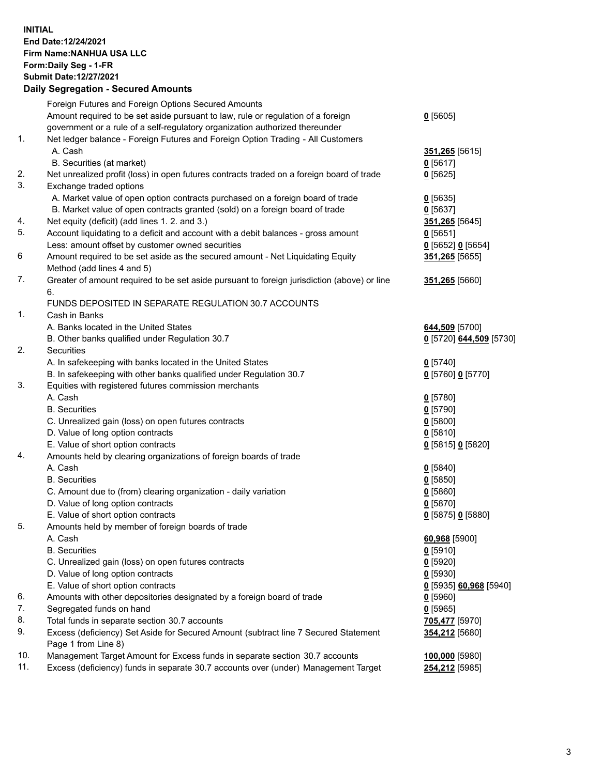## **INITIAL End Date:12/24/2021 Firm Name:NANHUA USA LLC Form:Daily Seg - 1-FR Submit Date:12/27/2021 Daily Segregation - Secured Amounts**

|     | Foreign Futures and Foreign Options Secured Amounts                                                        |                                      |
|-----|------------------------------------------------------------------------------------------------------------|--------------------------------------|
|     | Amount required to be set aside pursuant to law, rule or regulation of a foreign                           | $0$ [5605]                           |
|     | government or a rule of a self-regulatory organization authorized thereunder                               |                                      |
| 1.  | Net ledger balance - Foreign Futures and Foreign Option Trading - All Customers                            |                                      |
|     | A. Cash                                                                                                    | 351,265 [5615]                       |
|     | B. Securities (at market)                                                                                  | $0$ [5617]                           |
| 2.  | Net unrealized profit (loss) in open futures contracts traded on a foreign board of trade                  | $0$ [5625]                           |
| 3.  | Exchange traded options                                                                                    |                                      |
|     | A. Market value of open option contracts purchased on a foreign board of trade                             | $0$ [5635]                           |
|     | B. Market value of open contracts granted (sold) on a foreign board of trade                               | $0$ [5637]                           |
| 4.  | Net equity (deficit) (add lines 1. 2. and 3.)                                                              | 351,265 [5645]                       |
| 5.  | Account liquidating to a deficit and account with a debit balances - gross amount                          | $0$ [5651]                           |
|     | Less: amount offset by customer owned securities                                                           | $0$ [5652] $0$ [5654]                |
| 6   | Amount required to be set aside as the secured amount - Net Liquidating Equity                             | 351,265 [5655]                       |
|     | Method (add lines 4 and 5)                                                                                 |                                      |
| 7.  | Greater of amount required to be set aside pursuant to foreign jurisdiction (above) or line                | 351,265 [5660]                       |
|     | 6.                                                                                                         |                                      |
|     | FUNDS DEPOSITED IN SEPARATE REGULATION 30.7 ACCOUNTS                                                       |                                      |
| 1.  | Cash in Banks                                                                                              |                                      |
|     | A. Banks located in the United States                                                                      | 644,509 [5700]                       |
|     | B. Other banks qualified under Regulation 30.7                                                             | 0 [5720] 644,509 [5730]              |
| 2.  | <b>Securities</b>                                                                                          |                                      |
|     | A. In safekeeping with banks located in the United States                                                  | $0$ [5740]                           |
|     | B. In safekeeping with other banks qualified under Regulation 30.7                                         | 0 [5760] 0 [5770]                    |
| 3.  | Equities with registered futures commission merchants                                                      |                                      |
|     | A. Cash                                                                                                    | $0$ [5780]                           |
|     | <b>B.</b> Securities                                                                                       | $0$ [5790]                           |
|     | C. Unrealized gain (loss) on open futures contracts                                                        | $0$ [5800]                           |
|     | D. Value of long option contracts                                                                          | $0$ [5810]                           |
|     | E. Value of short option contracts                                                                         | 0 [5815] 0 [5820]                    |
| 4.  | Amounts held by clearing organizations of foreign boards of trade                                          |                                      |
|     | A. Cash                                                                                                    | $0$ [5840]                           |
|     | <b>B.</b> Securities                                                                                       | $0$ [5850]                           |
|     | C. Amount due to (from) clearing organization - daily variation                                            | $0$ [5860]                           |
|     | D. Value of long option contracts                                                                          | $0$ [5870]                           |
|     | E. Value of short option contracts                                                                         | 0 [5875] 0 [5880]                    |
| 5.  | Amounts held by member of foreign boards of trade                                                          |                                      |
|     | A. Cash                                                                                                    | 60,968 [5900]                        |
|     | <b>B.</b> Securities                                                                                       | $0$ [5910]                           |
|     | C. Unrealized gain (loss) on open futures contracts                                                        | $0$ [5920]                           |
|     | D. Value of long option contracts                                                                          | $0$ [5930]                           |
|     | E. Value of short option contracts                                                                         | <u>0</u> [5935] <b>60,968</b> [5940] |
| 6.  | Amounts with other depositories designated by a foreign board of trade                                     | $0$ [5960]                           |
| 7.  | Segregated funds on hand                                                                                   | $0$ [5965]                           |
| 8.  | Total funds in separate section 30.7 accounts                                                              | 705,477 [5970]                       |
| 9.  | Excess (deficiency) Set Aside for Secured Amount (subtract line 7 Secured Statement<br>Page 1 from Line 8) | 354,212 [5680]                       |
| 10. | Management Target Amount for Excess funds in separate section 30.7 accounts                                | 100,000 [5980]                       |
| 11. | Excess (deficiency) funds in separate 30.7 accounts over (under) Management Target                         | 254,212 [5985]                       |
|     |                                                                                                            |                                      |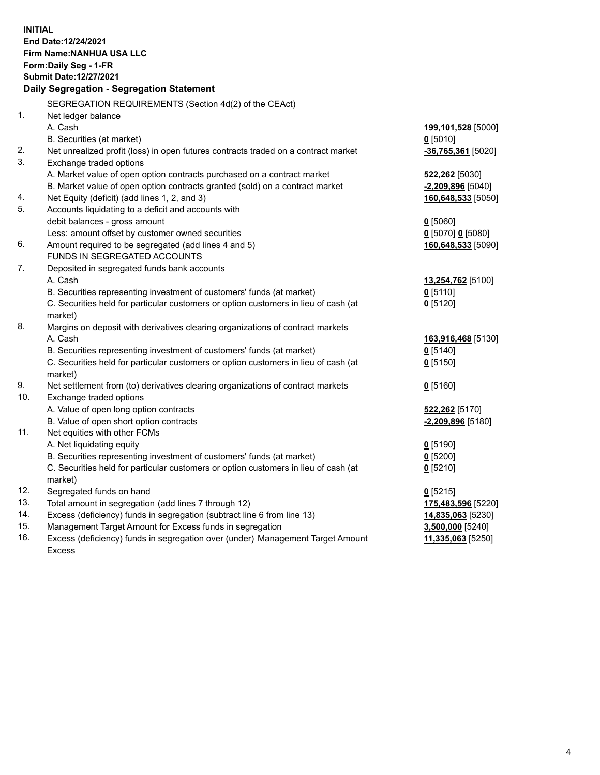**INITIAL End Date:12/24/2021 Firm Name:NANHUA USA LLC Form:Daily Seg - 1-FR Submit Date:12/27/2021 Daily Segregation - Segregation Statement** SEGREGATION REQUIREMENTS (Section 4d(2) of the CEAct) 1. Net ledger balance A. Cash **199,101,528** [5000] B. Securities (at market) **0** [5010] 2. Net unrealized profit (loss) in open futures contracts traded on a contract market **-36,765,361** [5020] 3. Exchange traded options A. Market value of open option contracts purchased on a contract market **522,262** [5030] B. Market value of open option contracts granted (sold) on a contract market **-2,209,896** [5040] 4. Net Equity (deficit) (add lines 1, 2, and 3) **160,648,533** [5050] 5. Accounts liquidating to a deficit and accounts with debit balances - gross amount **0** [5060] Less: amount offset by customer owned securities **0** [5070] **0** [5080] 6. Amount required to be segregated (add lines 4 and 5) **160,648,533** [5090] FUNDS IN SEGREGATED ACCOUNTS 7. Deposited in segregated funds bank accounts A. Cash **13,254,762** [5100] B. Securities representing investment of customers' funds (at market) **0** [5110] C. Securities held for particular customers or option customers in lieu of cash (at market) **0** [5120] 8. Margins on deposit with derivatives clearing organizations of contract markets A. Cash **163,916,468** [5130] B. Securities representing investment of customers' funds (at market) **0** [5140] C. Securities held for particular customers or option customers in lieu of cash (at market) **0** [5150] 9. Net settlement from (to) derivatives clearing organizations of contract markets **0** [5160] 10. Exchange traded options A. Value of open long option contracts **522,262** [5170] B. Value of open short option contracts **-2,209,896** [5180] 11. Net equities with other FCMs A. Net liquidating equity **0** [5190] B. Securities representing investment of customers' funds (at market) **0** [5200] C. Securities held for particular customers or option customers in lieu of cash (at market) **0** [5210] 12. Segregated funds on hand **0** [5215] 13. Total amount in segregation (add lines 7 through 12) **175,483,596** [5220] 14. Excess (deficiency) funds in segregation (subtract line 6 from line 13) **14,835,063** [5230] 15. Management Target Amount for Excess funds in segregation **3,500,000** [5240] 16. Excess (deficiency) funds in segregation over (under) Management Target Amount **11,335,063** [5250]

Excess